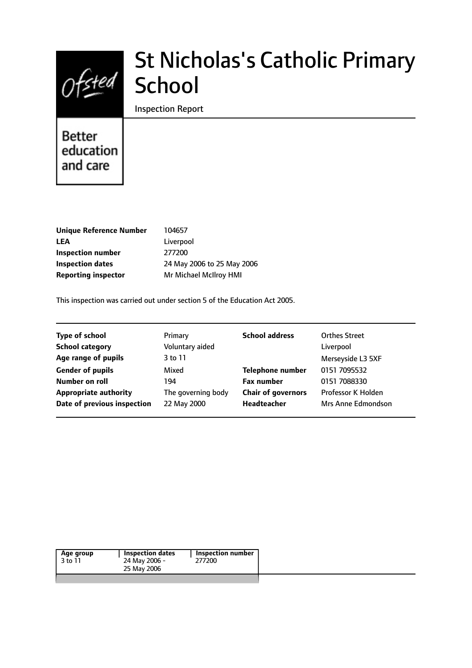

# St Nicholas's Catholic Primary **School**

Inspection Report

# Better education and care

| <b>Unique Reference Number</b> | 104657                     |
|--------------------------------|----------------------------|
| <b>LEA</b>                     | Liverpool                  |
| <b>Inspection number</b>       | 277200                     |
| Inspection dates               | 24 May 2006 to 25 May 2006 |
| <b>Reporting inspector</b>     | Mr Michael McIlroy HMI     |
|                                |                            |

This inspection was carried out under section 5 of the Education Act 2005.

| <b>Type of school</b>        | Primary            | <b>School address</b>     | <b>Orthes Street</b> |
|------------------------------|--------------------|---------------------------|----------------------|
| <b>School category</b>       | Voluntary aided    |                           | Liverpool            |
| Age range of pupils          | 3 to 11            |                           | Merseyside L3 5XF    |
| <b>Gender of pupils</b>      | Mixed              | <b>Telephone number</b>   | 0151 7095532         |
| Number on roll               | 194                | <b>Fax number</b>         | 0151 7088330         |
| <b>Appropriate authority</b> | The governing body | <b>Chair of governors</b> | Professor K Holden   |
| Date of previous inspection  | 22 May 2000        | <b>Headteacher</b>        | Mrs Anne Edmondson   |
|                              |                    |                           |                      |

|--|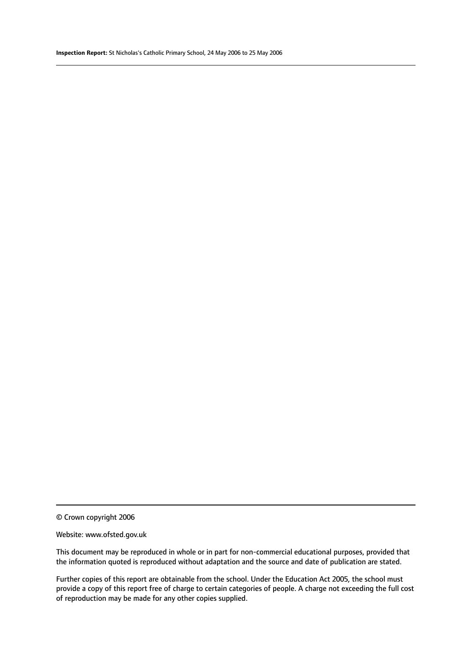© Crown copyright 2006

#### Website: www.ofsted.gov.uk

This document may be reproduced in whole or in part for non-commercial educational purposes, provided that the information quoted is reproduced without adaptation and the source and date of publication are stated.

Further copies of this report are obtainable from the school. Under the Education Act 2005, the school must provide a copy of this report free of charge to certain categories of people. A charge not exceeding the full cost of reproduction may be made for any other copies supplied.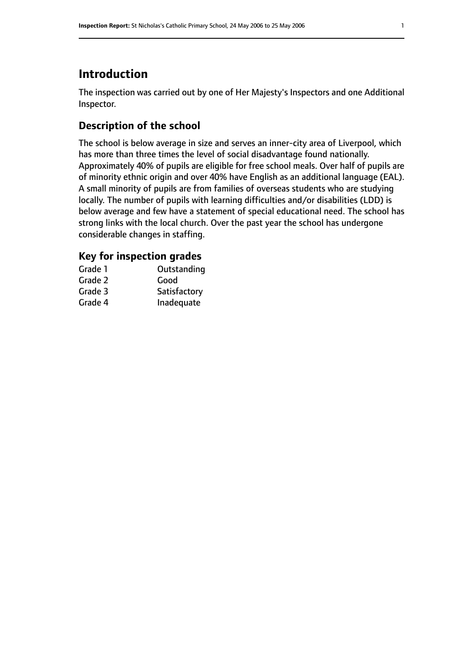# **Introduction**

The inspection was carried out by one of Her Majesty's Inspectors and one Additional Inspector.

# **Description of the school**

The school is below average in size and serves an inner-city area of Liverpool, which has more than three times the level of social disadvantage found nationally. Approximately 40% of pupils are eligible for free school meals. Over half of pupils are of minority ethnic origin and over 40% have English as an additional language (EAL). A small minority of pupils are from families of overseas students who are studying locally. The number of pupils with learning difficulties and/or disabilities (LDD) is below average and few have a statement of special educational need. The school has strong links with the local church. Over the past year the school has undergone considerable changes in staffing.

# **Key for inspection grades**

| Grade 1 | Outstanding  |
|---------|--------------|
| Grade 2 | Good         |
| Grade 3 | Satisfactory |
| Grade 4 | Inadequate   |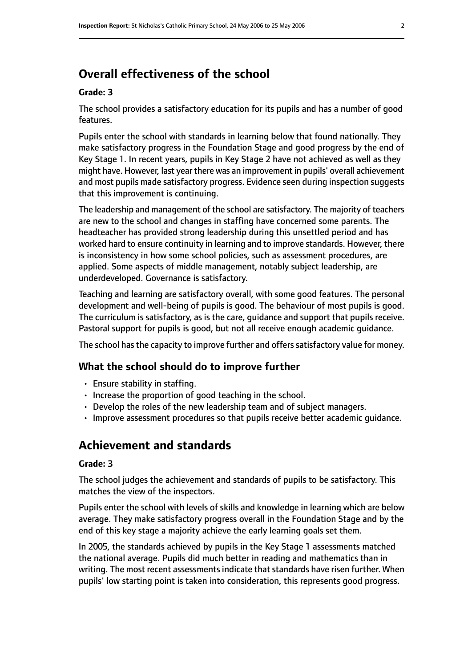# **Overall effectiveness of the school**

#### **Grade: 3**

The school provides a satisfactory education for its pupils and has a number of good features.

Pupils enter the school with standards in learning below that found nationally. They make satisfactory progress in the Foundation Stage and good progress by the end of Key Stage 1. In recent years, pupils in Key Stage 2 have not achieved as well as they might have. However, last year there was an improvement in pupils' overall achievement and most pupils made satisfactory progress. Evidence seen during inspection suggests that this improvement is continuing.

The leadership and management of the school are satisfactory. The majority of teachers are new to the school and changes in staffing have concerned some parents. The headteacher has provided strong leadership during this unsettled period and has worked hard to ensure continuity in learning and to improve standards. However, there is inconsistency in how some school policies, such as assessment procedures, are applied. Some aspects of middle management, notably subject leadership, are underdeveloped. Governance is satisfactory.

Teaching and learning are satisfactory overall, with some good features. The personal development and well-being of pupils is good. The behaviour of most pupils is good. The curriculum is satisfactory, as is the care, guidance and support that pupils receive. Pastoral support for pupils is good, but not all receive enough academic guidance.

The school has the capacity to improve further and offers satisfactory value for money.

#### **What the school should do to improve further**

- Ensure stability in staffing.
- Increase the proportion of good teaching in the school.
- Develop the roles of the new leadership team and of subject managers.
- Improve assessment procedures so that pupils receive better academic guidance.

# **Achievement and standards**

#### **Grade: 3**

The school judges the achievement and standards of pupils to be satisfactory. This matches the view of the inspectors.

Pupils enter the school with levels of skills and knowledge in learning which are below average. They make satisfactory progress overall in the Foundation Stage and by the end of this key stage a majority achieve the early learning goals set them.

In 2005, the standards achieved by pupils in the Key Stage 1 assessments matched the national average. Pupils did much better in reading and mathematics than in writing. The most recent assessments indicate that standards have risen further. When pupils' low starting point is taken into consideration, this represents good progress.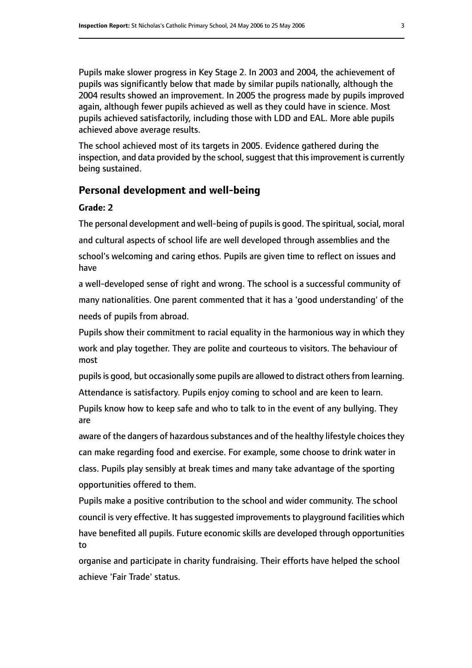Pupils make slower progress in Key Stage 2. In 2003 and 2004, the achievement of pupils was significantly below that made by similar pupils nationally, although the 2004 results showed an improvement. In 2005 the progress made by pupils improved again, although fewer pupils achieved as well as they could have in science. Most pupils achieved satisfactorily, including those with LDD and EAL. More able pupils achieved above average results.

The school achieved most of its targets in 2005. Evidence gathered during the inspection, and data provided by the school, suggest that this improvement is currently being sustained.

#### **Personal development and well-being**

#### **Grade: 2**

The personal development and well-being of pupils is good. The spiritual, social, moral and cultural aspects of school life are well developed through assemblies and the school's welcoming and caring ethos. Pupils are given time to reflect on issues and have

a well-developed sense of right and wrong. The school is a successful community of many nationalities. One parent commented that it has a 'good understanding' of the needs of pupils from abroad.

Pupils show their commitment to racial equality in the harmonious way in which they work and play together. They are polite and courteous to visitors. The behaviour of most

pupils is good, but occasionally some pupils are allowed to distract others from learning. Attendance is satisfactory. Pupils enjoy coming to school and are keen to learn.

Pupils know how to keep safe and who to talk to in the event of any bullying. They are

aware of the dangers of hazardous substances and of the healthy lifestyle choices they can make regarding food and exercise. For example, some choose to drink water in class. Pupils play sensibly at break times and many take advantage of the sporting opportunities offered to them.

Pupils make a positive contribution to the school and wider community. The school council is very effective. It has suggested improvements to playground facilities which have benefited all pupils. Future economic skills are developed through opportunities to

organise and participate in charity fundraising. Their efforts have helped the school achieve 'Fair Trade' status.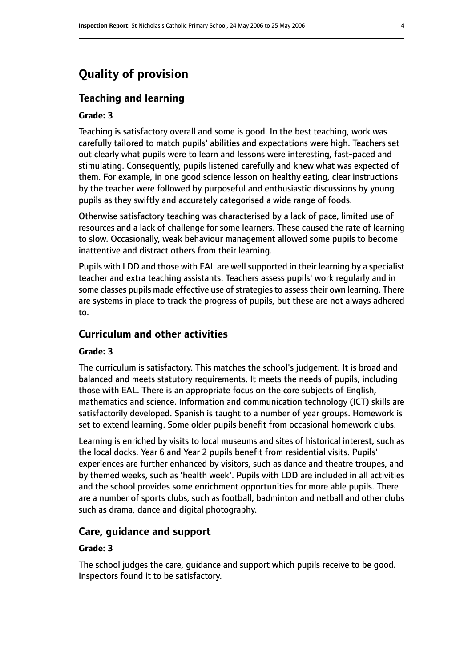# **Quality of provision**

## **Teaching and learning**

#### **Grade: 3**

Teaching is satisfactory overall and some is good. In the best teaching, work was carefully tailored to match pupils' abilities and expectations were high. Teachers set out clearly what pupils were to learn and lessons were interesting, fast-paced and stimulating. Consequently, pupils listened carefully and knew what was expected of them. For example, in one good science lesson on healthy eating, clear instructions by the teacher were followed by purposeful and enthusiastic discussions by young pupils as they swiftly and accurately categorised a wide range of foods.

Otherwise satisfactory teaching was characterised by a lack of pace, limited use of resources and a lack of challenge for some learners. These caused the rate of learning to slow. Occasionally, weak behaviour management allowed some pupils to become inattentive and distract others from their learning.

Pupils with LDD and those with EAL are well supported in their learning by a specialist teacher and extra teaching assistants. Teachers assess pupils' work regularly and in some classes pupils made effective use of strategies to assess their own learning. There are systems in place to track the progress of pupils, but these are not always adhered to.

## **Curriculum and other activities**

#### **Grade: 3**

The curriculum is satisfactory. This matches the school's judgement. It is broad and balanced and meets statutory requirements. It meets the needs of pupils, including those with EAL. There is an appropriate focus on the core subjects of English, mathematics and science. Information and communication technology (ICT) skills are satisfactorily developed. Spanish is taught to a number of year groups. Homework is set to extend learning. Some older pupils benefit from occasional homework clubs.

Learning is enriched by visits to local museums and sites of historical interest, such as the local docks. Year 6 and Year 2 pupils benefit from residential visits. Pupils' experiences are further enhanced by visitors, such as dance and theatre troupes, and by themed weeks, such as 'health week'. Pupils with LDD are included in all activities and the school provides some enrichment opportunities for more able pupils. There are a number of sports clubs, such as football, badminton and netball and other clubs such as drama, dance and digital photography.

#### **Care, guidance and support**

#### **Grade: 3**

The school judges the care, guidance and support which pupils receive to be good. Inspectors found it to be satisfactory.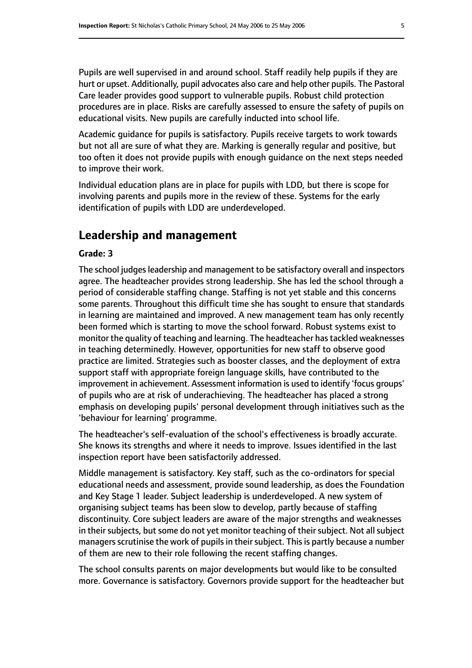Pupils are well supervised in and around school. Staff readily help pupils if they are hurt or upset. Additionally, pupil advocates also care and help other pupils. The Pastoral Care leader provides good support to vulnerable pupils. Robust child protection procedures are in place. Risks are carefully assessed to ensure the safety of pupils on educational visits. New pupils are carefully inducted into school life.

Academic guidance for pupils is satisfactory. Pupils receive targets to work towards but not all are sure of what they are. Marking is generally regular and positive, but too often it does not provide pupils with enough guidance on the next steps needed to improve their work.

Individual education plans are in place for pupils with LDD, but there is scope for involving parents and pupils more in the review of these. Systems for the early identification of pupils with LDD are underdeveloped.

# **Leadership and management**

#### **Grade: 3**

The school judges leadership and management to be satisfactory overall and inspectors agree. The headteacher provides strong leadership. She has led the school through a period of considerable staffing change. Staffing is not yet stable and this concerns some parents. Throughout this difficult time she has sought to ensure that standards in learning are maintained and improved. A new management team has only recently been formed which is starting to move the school forward. Robust systems exist to monitor the quality of teaching and learning. The headteacher has tackled weaknesses in teaching determinedly. However, opportunities for new staff to observe good practice are limited. Strategies such as booster classes, and the deployment of extra support staff with appropriate foreign language skills, have contributed to the improvement in achievement. Assessment information is used to identify 'focus groups' of pupils who are at risk of underachieving. The headteacher has placed a strong emphasis on developing pupils' personal development through initiatives such as the 'behaviour for learning' programme.

The headteacher's self-evaluation of the school's effectiveness is broadly accurate. She knows its strengths and where it needs to improve. Issues identified in the last inspection report have been satisfactorily addressed.

Middle management is satisfactory. Key staff, such as the co-ordinators for special educational needs and assessment, provide sound leadership, as does the Foundation and Key Stage 1 leader. Subject leadership is underdeveloped. A new system of organising subject teams has been slow to develop, partly because of staffing discontinuity. Core subject leaders are aware of the major strengths and weaknesses in their subjects, but some do not yet monitor teaching of their subject. Not all subject managers scrutinise the work of pupils in their subject. This is partly because a number of them are new to their role following the recent staffing changes.

The school consults parents on major developments but would like to be consulted more. Governance is satisfactory. Governors provide support for the headteacher but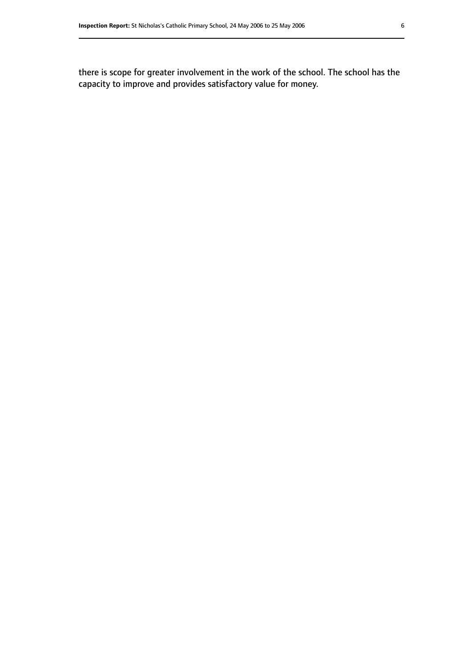there is scope for greater involvement in the work of the school. The school has the capacity to improve and provides satisfactory value for money.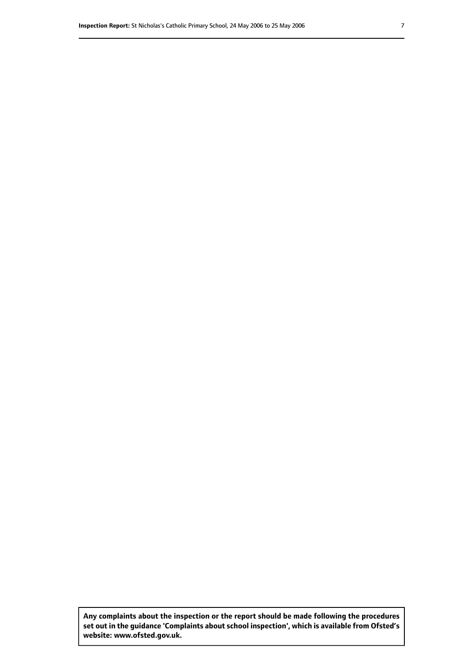**Any complaints about the inspection or the report should be made following the procedures set out inthe guidance 'Complaints about school inspection', whichis available from Ofsted's website: www.ofsted.gov.uk.**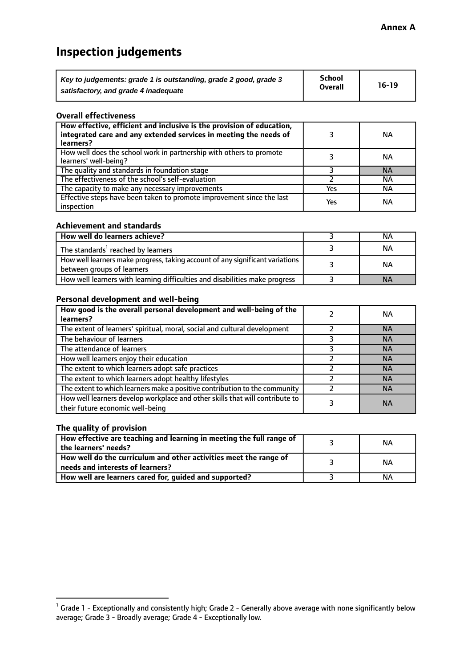# **Inspection judgements**

| Key to judgements: grade 1 is outstanding, grade 2 good, grade 3 | <b>School</b>  | $16-19$ |
|------------------------------------------------------------------|----------------|---------|
| satisfactory, and grade 4 inadequate                             | <b>Overall</b> |         |

#### **Overall effectiveness**

| How effective, efficient and inclusive is the provision of education,<br>integrated care and any extended services in meeting the needs of<br>learners? |     | <b>NA</b> |
|---------------------------------------------------------------------------------------------------------------------------------------------------------|-----|-----------|
| How well does the school work in partnership with others to promote<br>learners' well-being?                                                            |     | ΝA        |
| The quality and standards in foundation stage                                                                                                           |     | <b>NA</b> |
| The effectiveness of the school's self-evaluation                                                                                                       |     | ΝA        |
| The capacity to make any necessary improvements                                                                                                         | Yes | NА        |
| Effective steps have been taken to promote improvement since the last<br>inspection                                                                     | Yes | <b>NA</b> |

#### **Achievement and standards**

| How well do learners achieve?                                                                               | ΝA        |
|-------------------------------------------------------------------------------------------------------------|-----------|
| The standards <sup>1</sup> reached by learners                                                              | NА        |
| How well learners make progress, taking account of any significant variations<br>between groups of learners | <b>NA</b> |
| How well learners with learning difficulties and disabilities make progress                                 | <b>NA</b> |

#### **Personal development and well-being**

| How good is the overall personal development and well-being of the<br>learners?                                  | ΝA        |
|------------------------------------------------------------------------------------------------------------------|-----------|
| The extent of learners' spiritual, moral, social and cultural development                                        | <b>NA</b> |
| The behaviour of learners                                                                                        | <b>NA</b> |
| The attendance of learners                                                                                       | <b>NA</b> |
| How well learners enjoy their education                                                                          | <b>NA</b> |
| The extent to which learners adopt safe practices                                                                | <b>NA</b> |
| The extent to which learners adopt healthy lifestyles                                                            | <b>NA</b> |
| The extent to which learners make a positive contribution to the community                                       | <b>NA</b> |
| How well learners develop workplace and other skills that will contribute to<br>their future economic well-being | <b>NA</b> |

# **The quality of provision**

| How effective are teaching and learning in meeting the full range of<br>the learners' needs?          | ΝA |
|-------------------------------------------------------------------------------------------------------|----|
| How well do the curriculum and other activities meet the range of<br>needs and interests of learners? | ΝA |
| How well are learners cared for, guided and supported?                                                | NА |

 $^1$  Grade 1 - Exceptionally and consistently high; Grade 2 - Generally above average with none significantly below average; Grade 3 - Broadly average; Grade 4 - Exceptionally low.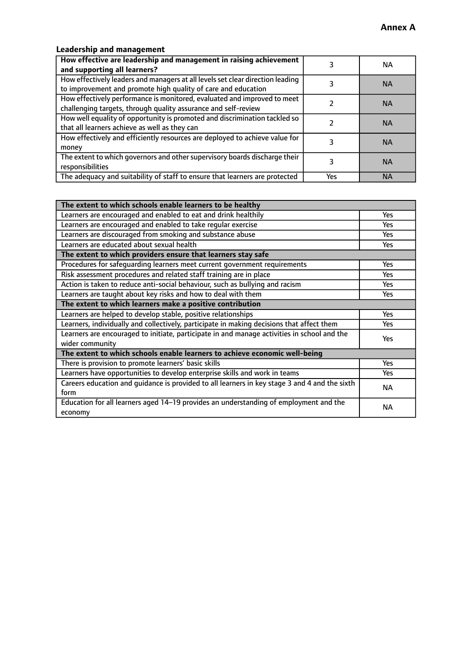# **Leadership and management**

| How effective are leadership and management in raising achievement<br>and supporting all learners?                                              |     | NA.       |
|-------------------------------------------------------------------------------------------------------------------------------------------------|-----|-----------|
| How effectively leaders and managers at all levels set clear direction leading<br>to improvement and promote high quality of care and education |     | <b>NA</b> |
| How effectively performance is monitored, evaluated and improved to meet<br>challenging targets, through quality assurance and self-review      |     | <b>NA</b> |
| How well equality of opportunity is promoted and discrimination tackled so<br>that all learners achieve as well as they can                     |     | <b>NA</b> |
| How effectively and efficiently resources are deployed to achieve value for<br>money                                                            |     | <b>NA</b> |
| The extent to which governors and other supervisory boards discharge their<br>responsibilities                                                  |     | <b>NA</b> |
| The adequacy and suitability of staff to ensure that learners are protected                                                                     | Yes | <b>NA</b> |

| The extent to which schools enable learners to be healthy                                     |            |  |
|-----------------------------------------------------------------------------------------------|------------|--|
| Learners are encouraged and enabled to eat and drink healthily                                | Yes        |  |
| Learners are encouraged and enabled to take regular exercise                                  | <b>Yes</b> |  |
| Learners are discouraged from smoking and substance abuse                                     | Yes        |  |
| Learners are educated about sexual health                                                     | Yes        |  |
| The extent to which providers ensure that learners stay safe                                  |            |  |
| Procedures for safequarding learners meet current government requirements                     | Yes        |  |
| Risk assessment procedures and related staff training are in place                            | <b>Yes</b> |  |
| Action is taken to reduce anti-social behaviour, such as bullying and racism                  | <b>Yes</b> |  |
| Learners are taught about key risks and how to deal with them                                 | Yes        |  |
| The extent to which learners make a positive contribution                                     |            |  |
| Learners are helped to develop stable, positive relationships                                 | Yes        |  |
| Learners, individually and collectively, participate in making decisions that affect them     | Yes        |  |
| Learners are encouraged to initiate, participate in and manage activities in school and the   | <b>Yes</b> |  |
| wider community                                                                               |            |  |
| The extent to which schools enable learners to achieve economic well-being                    |            |  |
| There is provision to promote learners' basic skills                                          | Yes        |  |
| Learners have opportunities to develop enterprise skills and work in teams                    | Yes        |  |
| Careers education and guidance is provided to all learners in key stage 3 and 4 and the sixth | <b>NA</b>  |  |
| form                                                                                          |            |  |
| Education for all learners aged 14-19 provides an understanding of employment and the         | NА         |  |
| economy                                                                                       |            |  |